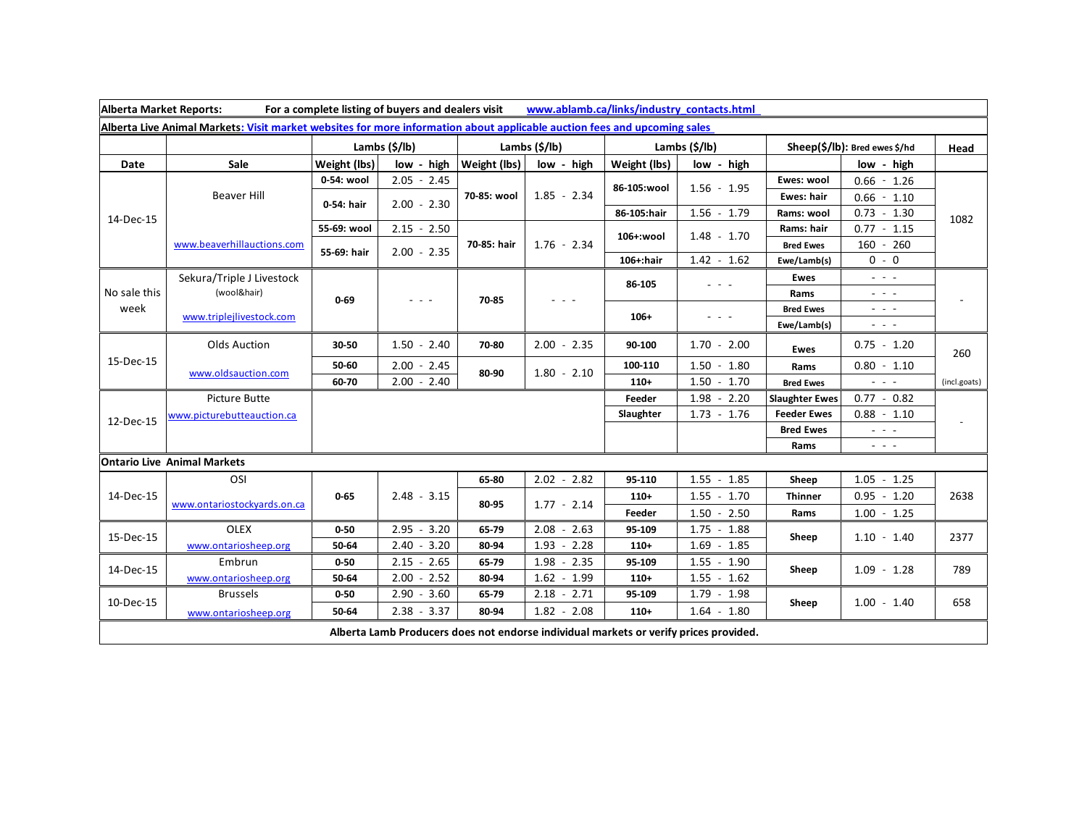| Alberta Market Reports:<br>For a complete listing of buyers and dealers visit<br>www.ablamb.ca/links/industry_contacts.html |                                                                      |                     |                                          |               |                        |                       |                                                                                                                           |                               |                                                                                                                           |              |
|-----------------------------------------------------------------------------------------------------------------------------|----------------------------------------------------------------------|---------------------|------------------------------------------|---------------|------------------------|-----------------------|---------------------------------------------------------------------------------------------------------------------------|-------------------------------|---------------------------------------------------------------------------------------------------------------------------|--------------|
| Alberta Live Animal Markets: Visit market websites for more information about applicable auction fees and upcoming sales    |                                                                      |                     |                                          |               |                        |                       |                                                                                                                           |                               |                                                                                                                           |              |
|                                                                                                                             |                                                                      | Lambs (\$/lb)       |                                          | Lambs (\$/lb) |                        | Lambs $(\frac{2}{3})$ |                                                                                                                           | Sheep(\$/lb): Bred ewes \$/hd |                                                                                                                           | Head         |
| Date                                                                                                                        | Sale                                                                 | <b>Weight (lbs)</b> | low - high                               | Weight (lbs)  | low - high             | Weight (lbs)          | low - high                                                                                                                |                               | low - high                                                                                                                |              |
| 14-Dec-15                                                                                                                   | <b>Beaver Hill</b>                                                   | 0-54: wool          | $2.05 - 2.45$                            | 70-85: wool   | $1.85 - 2.34$          | 86-105:wool           | $1.56 - 1.95$                                                                                                             | Ewes: wool                    | $0.66 - 1.26$                                                                                                             | 1082         |
|                                                                                                                             |                                                                      | 0-54: hair          | $2.00 - 2.30$                            |               |                        |                       |                                                                                                                           | Ewes: hair                    | $0.66 - 1.10$                                                                                                             |              |
|                                                                                                                             |                                                                      |                     |                                          |               |                        | 86-105:hair           | $1.56 - 1.79$                                                                                                             | Rams: wool                    | $0.73 - 1.30$                                                                                                             |              |
|                                                                                                                             | www.beaverhillauctions.com                                           | 55-69: wool         | $2.15 - 2.50$                            | 70-85: hair   | $1.76 - 2.34$          | 106+:wool             | $1.48 - 1.70$                                                                                                             | Rams: hair                    | $0.77 - 1.15$                                                                                                             |              |
|                                                                                                                             |                                                                      | 55-69: hair         | $2.00 - 2.35$                            |               |                        |                       |                                                                                                                           | <b>Bred Ewes</b>              | $160 - 260$                                                                                                               |              |
|                                                                                                                             |                                                                      |                     |                                          |               |                        | $106+$ : hair         | $1.42 - 1.62$                                                                                                             | Ewe/Lamb(s)                   | $0 - 0$                                                                                                                   |              |
| No sale this<br>week                                                                                                        | Sekura/Triple J Livestock<br>(wool&hair)<br>www.triplejlivestock.com | $0 - 69$            | $  -$                                    | 70-85         | $  -$                  | 86-105                | $\frac{1}{2} \left( \frac{1}{2} \right) \left( \frac{1}{2} \right) \left( \frac{1}{2} \right) \left( \frac{1}{2} \right)$ | <b>Ewes</b>                   | $\omega_{\rm{eff}}=0.1$                                                                                                   |              |
|                                                                                                                             |                                                                      |                     |                                          |               |                        |                       |                                                                                                                           | Rams                          | $\sim$ 100 $\sim$                                                                                                         |              |
|                                                                                                                             |                                                                      |                     |                                          |               |                        | $106+$                |                                                                                                                           | <b>Bred Ewes</b>              | $  -$                                                                                                                     |              |
|                                                                                                                             |                                                                      |                     |                                          |               |                        |                       |                                                                                                                           | Ewe/Lamb(s)                   | $\frac{1}{2} \left( \frac{1}{2} \right) \left( \frac{1}{2} \right) \left( \frac{1}{2} \right) \left( \frac{1}{2} \right)$ |              |
| 15-Dec-15                                                                                                                   | <b>Olds Auction</b>                                                  | 30-50               | $1.50 - 2.40$                            | 70-80         | $2.00 - 2.35$          | 90-100                | $1.70 - 2.00$                                                                                                             | Ewes                          | $0.75 - 1.20$                                                                                                             | 260          |
|                                                                                                                             | www.oldsauction.com                                                  | 50-60               | $2.00 - 2.45$                            | 80-90         | $1.80 - 2.10$          | 100-110               | $1.50 - 1.80$                                                                                                             | Rams                          | $0.80 - 1.10$                                                                                                             |              |
|                                                                                                                             |                                                                      | 60-70               | $2.00 - 2.40$                            |               |                        | $110+$                | $1.50 - 1.70$                                                                                                             | <b>Bred Ewes</b>              | $\frac{1}{2} \left( \frac{1}{2} \right) \left( \frac{1}{2} \right) \left( \frac{1}{2} \right) \left( \frac{1}{2} \right)$ | (incl.goats) |
| 12-Dec-15                                                                                                                   | Picture Butte                                                        |                     |                                          |               |                        | Feeder                | $1.98 - 2.20$                                                                                                             | <b>Slaughter Ewes</b>         | $0.77 - 0.82$                                                                                                             |              |
|                                                                                                                             | www.picturebutteauction.ca                                           |                     |                                          |               |                        | Slaughter             | $1.73 - 1.76$                                                                                                             | <b>Feeder Ewes</b>            | $0.88 - 1.10$                                                                                                             |              |
|                                                                                                                             |                                                                      |                     |                                          |               |                        |                       |                                                                                                                           | <b>Bred Ewes</b>              | $ -$                                                                                                                      |              |
|                                                                                                                             |                                                                      |                     |                                          |               |                        |                       |                                                                                                                           | Rams                          | $\omega_{\rm{c}}$ , $\omega_{\rm{c}}$ , $\omega_{\rm{c}}$                                                                 |              |
| <b>Ontario Live Animal Markets</b>                                                                                          |                                                                      |                     |                                          |               |                        |                       |                                                                                                                           |                               |                                                                                                                           |              |
| 14-Dec-15                                                                                                                   | OSI                                                                  |                     |                                          | 65-80         | $2.02 - 2.82$          | 95-110                | 1.55<br>$-1.85$                                                                                                           | Sheep                         | $1.05 - 1.25$                                                                                                             |              |
|                                                                                                                             | www.ontariostockyards.on.ca                                          | $0 - 65$            | $2.48 - 3.15$                            | 80-95         | $1.77 - 2.14$          | $110+$                | 1.55<br>$-1.70$                                                                                                           | <b>Thinner</b>                | $0.95 - 1.20$                                                                                                             | 2638         |
|                                                                                                                             |                                                                      |                     |                                          |               |                        | Feeder                | $1.50 - 2.50$                                                                                                             | Rams                          | $1.00 - 1.25$                                                                                                             |              |
| 15-Dec-15                                                                                                                   | <b>OLEX</b>                                                          | $0 - 50$            | $2.95 - 3.20$                            | 65-79         | $2.08 - 2.63$          | 95-109                | 1.75<br>$-1.88$                                                                                                           | Sheep                         |                                                                                                                           |              |
|                                                                                                                             | www.ontariosheep.org                                                 | 50-64               | 2.40<br>$-3.20$                          | 80-94         | $1.93 - 2.28$          | $110+$                | 1.69<br>$-1.85$                                                                                                           |                               | $1.10 - 1.40$                                                                                                             | 2377         |
| 14-Dec-15                                                                                                                   | Embrun                                                               | $0 - 50$            | 2.15<br>2.65<br>$\overline{\phantom{a}}$ | 65-79         | 1.98<br>2.35<br>$\sim$ | 95-109                | 1.55<br>$-1.90$                                                                                                           | Sheep                         |                                                                                                                           |              |
|                                                                                                                             | www.ontariosheep.org                                                 | 50-64               | $2.00 -$<br>2.52                         | 80-94         | $1.62 - 1.99$          | $110+$                | $1.55 - 1.62$                                                                                                             |                               | $1.09 - 1.28$                                                                                                             | 789          |
| 10-Dec-15                                                                                                                   | <b>Brussels</b>                                                      | $0 - 50$            | 2.90<br>3.60<br>$\blacksquare$           | 65-79         | $2.18 - 2.71$          | 95-109                | $1.79 - 1.98$                                                                                                             | Sheep                         | $1.00 - 1.40$                                                                                                             | 658          |
|                                                                                                                             | www.ontariosheep.org                                                 | 50-64               | $2.38 - 3.37$                            | 80-94         | $1.82 - 2.08$          | $110+$                | $1.64 - 1.80$                                                                                                             |                               |                                                                                                                           |              |
| Alberta Lamb Producers does not endorse individual markets or verify prices provided.                                       |                                                                      |                     |                                          |               |                        |                       |                                                                                                                           |                               |                                                                                                                           |              |